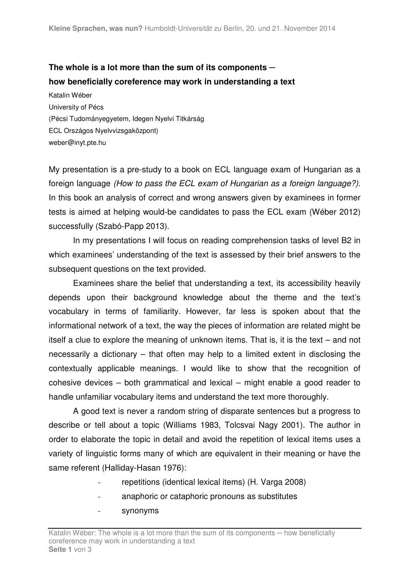## **The whole is a lot more than the sum of its components ─ how beneficially coreference may work in understanding a text**

Katalin Wéber University of Pécs (Pécsi Tudományegyetem, Idegen Nyelvi Titkárság ECL Országos Nyelvvizsgaközpont) weber@inyt.pte.hu

My presentation is a pre-study to a book on ECL language exam of Hungarian as a foreign language (How to pass the ECL exam of Hungarian as a foreign language?). In this book an analysis of correct and wrong answers given by examinees in former tests is aimed at helping would-be candidates to pass the ECL exam (Wéber 2012) successfully (Szabó-Papp 2013).

In my presentations I will focus on reading comprehension tasks of level B2 in which examinees' understanding of the text is assessed by their brief answers to the subsequent questions on the text provided.

Examinees share the belief that understanding a text, its accessibility heavily depends upon their background knowledge about the theme and the text's vocabulary in terms of familiarity. However, far less is spoken about that the informational network of a text, the way the pieces of information are related might be itself a clue to explore the meaning of unknown items. That is, it is the text – and not necessarily a dictionary – that often may help to a limited extent in disclosing the contextually applicable meanings. I would like to show that the recognition of cohesive devices – both grammatical and lexical – might enable a good reader to handle unfamiliar vocabulary items and understand the text more thoroughly.

A good text is never a random string of disparate sentences but a progress to describe or tell about a topic (Williams 1983, Tolcsvai Nagy 2001). The author in order to elaborate the topic in detail and avoid the repetition of lexical items uses a variety of linguistic forms many of which are equivalent in their meaning or have the same referent (Halliday-Hasan 1976):

- repetitions (identical lexical items) (H. Varga 2008)
- anaphoric or cataphoric pronouns as substitutes
- synonyms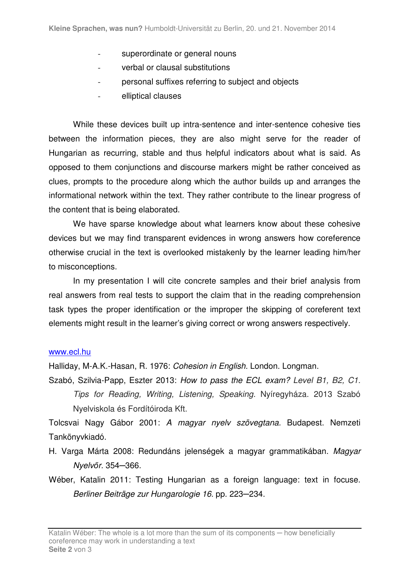- superordinate or general nouns
- verbal or clausal substitutions
- personal suffixes referring to subject and objects
- elliptical clauses

While these devices built up intra-sentence and inter-sentence cohesive ties between the information pieces, they are also might serve for the reader of Hungarian as recurring, stable and thus helpful indicators about what is said. As opposed to them conjunctions and discourse markers might be rather conceived as clues, prompts to the procedure along which the author builds up and arranges the informational network within the text. They rather contribute to the linear progress of the content that is being elaborated.

We have sparse knowledge about what learners know about these cohesive devices but we may find transparent evidences in wrong answers how coreference otherwise crucial in the text is overlooked mistakenly by the learner leading him/her to misconceptions.

In my presentation I will cite concrete samples and their brief analysis from real answers from real tests to support the claim that in the reading comprehension task types the proper identification or the improper the skipping of coreferent text elements might result in the learner's giving correct or wrong answers respectively.

## www.ecl.hu

Halliday, M-A.K.-Hasan, R. 1976: Cohesion in English. London. Longman.

Szabó, Szilvia-Papp, Eszter 2013: How to pass the ECL exam? Level B1, B2, C1. Tips for Reading, Writing, Listening, Speaking. Nyíregyháza. 2013 Szabó Nyelviskola és Fordítóiroda Kft.

Tolcsvai Nagy Gábor 2001: A magyar nyelv szövegtana. Budapest. Nemzeti Tankönyvkiadó.

H. Varga Márta 2008: Redundáns jelenségek a magyar grammatikában. Magyar Nyelv*ő*r. 354─366.

Wéber, Katalin 2011: Testing Hungarian as a foreign language: text in focuse. Berliner Beiträge zur Hungarologie 16. pp. 223─234.